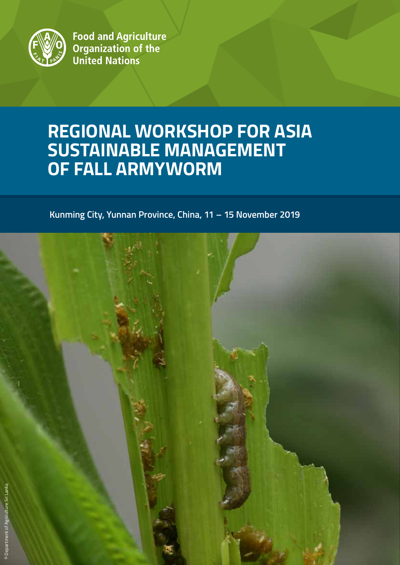

**Food and Agriculture Code and Agrication**<br>Organization of the<br>United Nations

# **REGIONAL WORKSHOP FOR ASIA SUSTAINABLE MANAGEMENT OF FALL ARMYWORM**

**Kunming City, Yunnan Province, China, 11 – 15 November 2019**

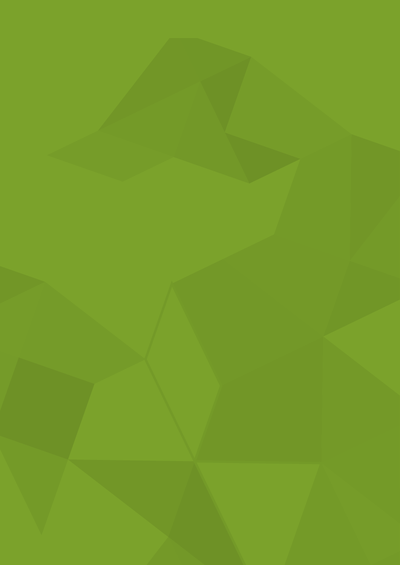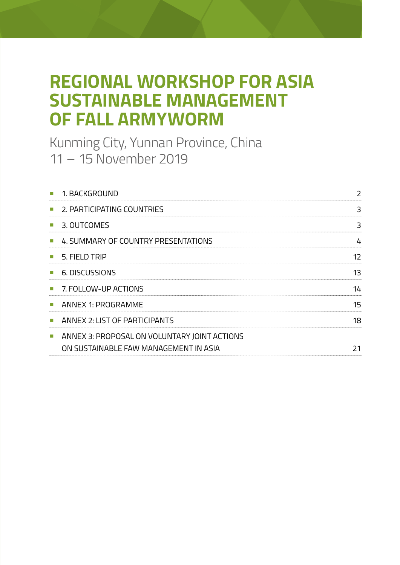# **REGIONAL WORKSHOP FOR ASIA SUSTAINABLE MANAGEMENT OF FALL ARMYWORM**

Kunming City, Yunnan Province, China 11 – 15 November 2019

| 1. BACKGROUND                                                                                                        |    |
|----------------------------------------------------------------------------------------------------------------------|----|
| ■ 2. PARTICIPATING COUNTRIES                                                                                         |    |
| 3. OUTCOMES<br>$\mathcal{C}$                                                                                         |    |
| ■ 4. SUMMARY OF COUNTRY PRESENTATIONS                                                                                |    |
| 5. FIELD TRIP<br>$\mathcal{C}$                                                                                       |    |
| 6. DISCUSSIONS                                                                                                       | 13 |
| ■ 7. FOLLOW-UP ACTIONS                                                                                               | 14 |
| ANNEX 1: PROGRAMME<br><b>I</b>                                                                                       | 15 |
| ANNEX 2: LIST OF PARTICIPANTS<br>п                                                                                   |    |
| ANNEX 3: PROPOSAL ON VOLUNTARY JOINT ACTIONS<br>$\mathcal{L}_{\mathcal{A}}$<br>ON SUSTAINABLE FAW MANAGEMENT IN ASIA |    |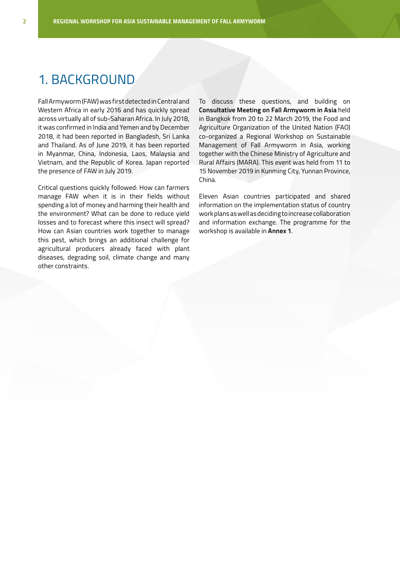# 1. BACKGROUND

Fall Armyworm (FAW) was first detected in Central and Western Africa in early 2016 and has quickly spread across virtually all of sub-Saharan Africa. In July 2018, it was confirmed in India and Yemen and by December 2018, it had been reported in Bangladesh, Sri Lanka and Thailand. As of June 2019, it has been reported in Myanmar, China, Indonesia, Laos, Malaysia and Vietnam, and the Republic of Korea. Japan reported the presence of FAW in July 2019.

Critical questions quickly followed: How can farmers manage FAW when it is in their fields without spending a lot of money and harming their health and the environment? What can be done to reduce yield losses and to forecast where this insect will spread? How can Asian countries work together to manage this pest, which brings an additional challenge for agricultural producers already faced with plant diseases, degrading soil, climate change and many other constraints.

To discuss these questions, and building on **Consultative Meeting on Fall Armyworm in Asia** held in Bangkok from 20 to 22 March 2019, the Food and Agriculture Organization of the United Nation (FAO) co-organized a Regional Workshop on Sustainable Management of Fall Armyworm in Asia, working together with the Chinese Ministry of Agriculture and Rural Affairs (MARA). This event was held from 11 to 15 November 2019 in Kunming City, Yunnan Province, China.

Eleven Asian countries participated and shared information on the implementation status of country work plans as well as deciding to increase collaboration and information exchange. The programme for the workshop is available in **Annex 1**.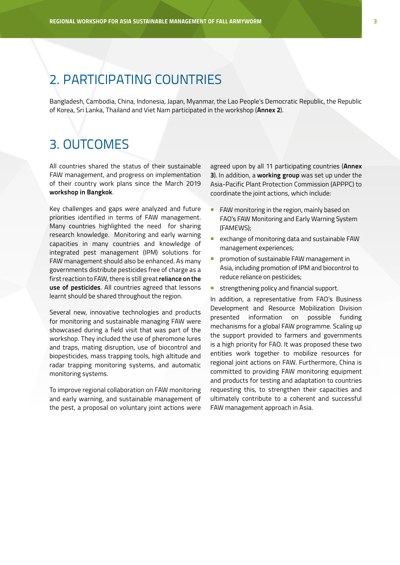# 2. PARTICIPATING COUNTRIES

Bangladesh, Cambodia, China, Indonesia, Japan, Myanmar, the Lao People's Democratic Republic, the Republic of Korea, Sri Lanka, Thailand and Viet Nam participated in the workshop (**Annex 2**).

# 3. OUTCOMES

All countries shared the status of their sustainable FAW management, and progress on implementation of their country work plans since the March 2019 **workshop in Bangkok**.

Key challenges and gaps were analyzed and future priorities identified in terms of FAW management. Many countries highlighted the need for sharing research knowledge. Monitoring and early warning capacities in many countries and knowledge of integrated pest management (IPM) solutions for FAW management should also be enhanced. As many governments distribute pesticides free of charge as a first reaction to FAW, there is still great **reliance on the use of pesticides**. All countries agreed that lessons learnt should be shared throughout the region.

Several new, innovative technologies and products for monitoring and sustainable managing FAW were showcased during a field visit that was part of the workshop. They included the use of pheromone lures and traps, mating disruption, use of biocontrol and biopesticides, mass trapping tools, high altitude and radar trapping monitoring systems, and automatic monitoring systems.

To improve regional collaboration on FAW monitoring and early warning, and sustainable management of the pest, a proposal on voluntary joint actions were agreed upon by all 11 participating countries (**Annex 3**). In addition, a **working group** was set up under the Asia-Pacific Plant Protection Commission (APPPC) to coordinate the joint actions, which include:

- **FAW monitoring in the region, mainly based on** FAO's FAW Monitoring and Early Warning System (FAMEWS);
- **E** exchange of monitoring data and sustainable FAW management experiences;
- **P** promotion of sustainable FAW management in Asia, including promotion of IPM and biocontrol to reduce reliance on pesticides;
- strengthening policy and financial support.

In addition, a representative from FAO's Business Development and Resource Mobilization Division presented information on possible funding mechanisms for a global FAW programme. Scaling up the support provided to farmers and governments is a high priority for FAO. It was proposed these two entities work together to mobilize resources for regional joint actions on FAW. Furthermore, China is committed to providing FAW monitoring equipment and products for testing and adaptation to countries requesting this, to strengthen their capacities and ultimately contribute to a coherent and successful FAW management approach in Asia.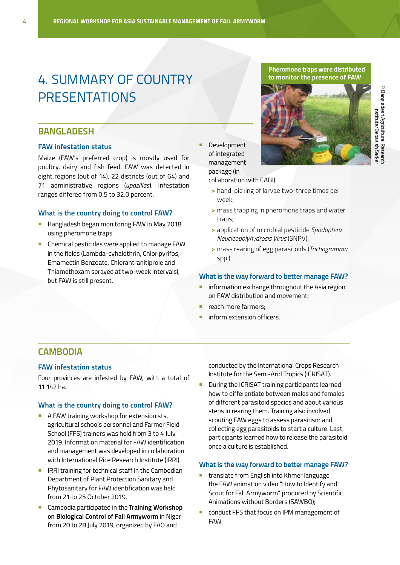# 4. SUMMARY OF COUNTRY **PRESENTATIONS**

### **BANGLADESH**

#### **FAW infestation status**

Maize (FAW's preferred crop) is mostly used for poultry, dairy and fish feed. FAW was detected in eight regions (out of 14), 22 districts (out of 64) and 71 administrative regions (*upazillas*). Infestation ranges differed from 0.5 to 32.0 percent.

#### **What is the country doing to control FAW?**

- Bangladesh began monitoring FAW in May 2018 using pheromone traps.
- **E** Chemical pesticides were applied to manage FAW in the fields (Lambda-cyhalothrin, Chloripyrifos, Emamectin Benzoate, Chlorantranitiprole and Thiamethoxam sprayed at two-week intervals), but FAW is still present.

**Development** of integrated management package (in

collaboration with CABI):

- **>** hand-picking of larvae two-three times per week;
- **>** mass trapping in pheromone traps and water traps;
- **>** application of microbial pesticide *Spodoptera Neucleopolyhydrosis Virus* (SNPV);
- **>** mass rearing of egg parasitoids (*Trichogramma*  spp.).

#### **What is the way forward to better manage FAW?**

- **n** information exchange throughout the Asia region on FAW distribution and movement;
- **P** reach more farmers:
- inform extension officers.

#### **CAMBODIA**

#### **FAW infestation status**

Four provinces are infested by FAW, with a total of 11 142 ha.

#### **What is the country doing to control FAW?**

- **A FAW training workshop for extensionists.** agricultural schools personnel and Farmer Field School (FFS) trainers was held from 3 to 4 July 2019. Information material for FAW identification and management was developed in collaboration with International Rice Research Institute (IRRI).
- **IF IRRI training for technical staff in the Cambodian** Department of Plant Protection Sanitary and Phytosanitary for FAW identification was held from 21 to 25 October 2019.
- Cambodia participated in the **Training Workshop on Biological Control of Fall Armyworm** in Niger from 20 to 28 July 2019, organized by FAO and

conducted by the International Crops Research Institute for the Semi-Arid Tropics (ICRISAT).

 During the ICRISAT training participants learned how to differentiate between males and females of different parasitoid species and about various steps in rearing them. Training also involved scouting FAW eggs to assess parasitism and collecting egg parasitoids to start a culture. Last, participants learned how to release the parasitoid once a culture is established.

- **translate from English into Khmer language** the FAW animation video "How to Identify and Scout for Fall Armyworm" produced by Scientific Animations without Borders (SAWBO);
- conduct FFS that focus on IPM management of FAW;

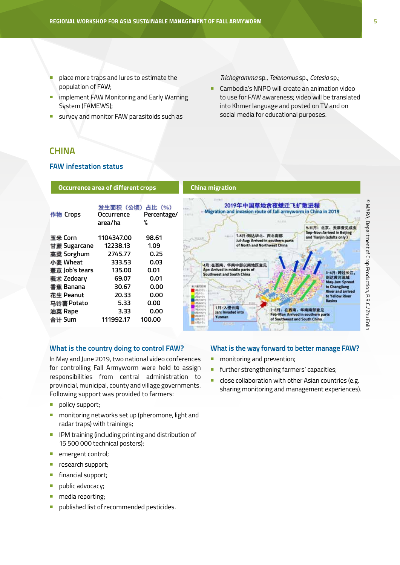- place more traps and lures to estimate the population of FAW;
- implement FAW Monitoring and Early Warning System (FAMEWS);
- **E** survey and monitor FAW parasitoids such as

#### **CHINA**

#### **FAW infestation status**

|                | <b>Occurrence area of different crops</b> |                            | <b>China migration</b>                                                                                                    |
|----------------|-------------------------------------------|----------------------------|---------------------------------------------------------------------------------------------------------------------------|
| 作物 Crops       | 发生面积(公顷)<br>Occurrence<br>area/ha         | 占比 (%)<br>Percentage/<br>% | 2019年中国草地贪夜蛾迁飞扩散进利<br>store.<br>Migration and invasion route of fall armyworm in Ch<br><b>COLOR</b><br>$9 - 11F$<br>Sep-N |
| 玉米 Corn        | 1104347.00                                | 98.61                      | 7-8月:到达华北、西北南部<br>and Ti<br>1950, 962<br>Jul-Aug: Arrived in southern parts                                               |
| 甘蔗 Sugarcane   | 12238.13                                  | 1.09                       | of North and Northwest China                                                                                              |
| 高粱 Sorghum     | 2745.77                                   | 0.25                       |                                                                                                                           |
| 小麦 Wheat       | 333.53                                    | 0.03                       | 4月:在西南、华南中部以南地区查见                                                                                                         |
| 薏苡 Job's tears | 135.00                                    | 0.01                       | Apr: Arrived in middle parts of<br>Southwest and South China                                                              |
| 莪术 Zedoary     | 69.07                                     | 0.01                       |                                                                                                                           |
| 香蕉 Banana      | 30.67                                     | 0.00                       | * 歯切目 敏                                                                                                                   |
| 花生 Peanut      | 20.33                                     | 0.00                       |                                                                                                                           |
| 马铃薯 Potato     | 5.33                                      | 0.00                       |                                                                                                                           |
| 油菜 Rape        | 3.33                                      | 0.00                       | 1月:入侵云南<br>om na<br>lan: Invaded into<br>Feb-Mar: Arrived in southe                                                       |
| 合计 Sum         | 111992.17                                 | 100.00                     | にないないり<br>Yunnan<br>of Southwest and South Ch<br><b>CITATIO</b>                                                           |

#### **What is the country doing to control FAW?**

In May and June 2019, two national video conferences for controlling Fall Armyworm were held to assign responsibilities from central administration to provincial, municipal, county and village governments. Following support was provided to farmers:

- policy support;
- **n** monitoring networks set up (pheromone, light and radar traps) with trainings;
- **IFM** training (including printing and distribution of 15 500 000 technical posters);
- emergent control;
- **P** research support;
- **financial support;**
- public advocacy;
- **n**edia reporting;
- **published list of recommended pesticides.**

#### **What is the way forward to better manage FAW?**

- **n** monitoring and prevention;
- **F** further strengthening farmers' capacities;
- close collaboration with other Asian countries (e.g. sharing monitoring and management experiences).

ina in 2019

m parts

:北京、天津查见成虫 ov: Arrived in Beijir<br>anjin (adults only )

> -6月: 跨过长江, 副达黄河连续 to Changiia to Yellow Rive

#### *Trichogramma* sp., *Telenomus* sp., *Cotesia* sp.;

**E** Cambodia's NNPO will create an animation video to use for FAW awareness; video will be translated into Khmer language and posted on TV and on social media for educational purposes.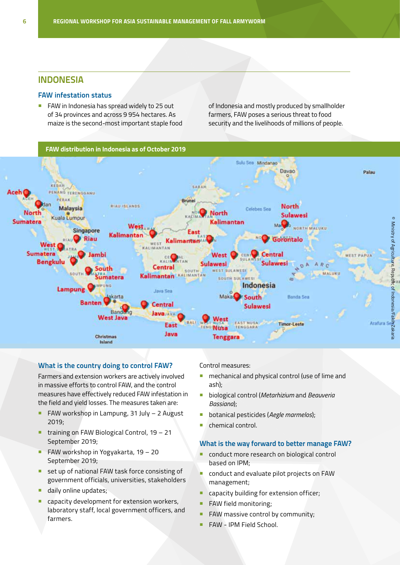#### **INDONESIA**

#### **FAW infestation status**

 FAW in Indonesia has spread widely to 25 out of 34 provinces and across 9 954 hectares. As maize is the second-most important staple food of Indonesia and mostly produced by smallholder farmers, FAW poses a serious threat to food security and the livelihoods of millions of people.



#### **What is the country doing to control FAW?**

Farmers and extension workers are actively involved in massive efforts to control FAW, and the control measures have effectively reduced FAW infestation in the field and yield losses. The measures taken are:

- **FAW** workshop in Lampung, 31 July  $-$  2 August 2019;
- **training on FAW Biological Control, 19 21** September 2019;
- FAW workshop in Yogyakarta, 19 20 September 2019;
- set up of national FAW task force consisting of government officials, universities, stakeholders
- daily online updates;
- capacity development for extension workers, laboratory staff, local government officers, and farmers.

#### Control measures:

- **n** mechanical and physical control (use of lime and ash);
- biological control (*Metarhizium* and *Beauveria Bassiana*);
- botanical pesticides (*Aegle marmelos*);
- chemical control.

- conduct more research on biological control based on IPM;
- conduct and evaluate pilot projects on FAW management;
- capacity building for extension officer;
- **FAW field monitoring;**
- FAW massive control by community;
- FAW IPM Field School.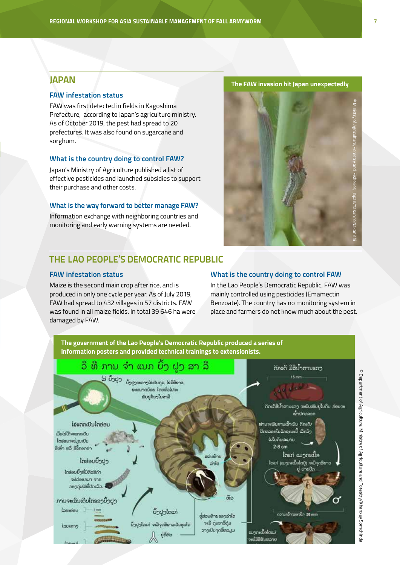#### **JAPAN**

#### **FAW infestation status**

FAW was first detected in fields in Kagoshima Prefecture, according to Japan's agriculture ministry. As of October 2019, the pest had spread to 20 prefectures. It was also found on sugarcane and sorghum.

#### **What is the country doing to control FAW?**

Japan's Ministry of Agriculture published a list of effective pesticides and launched subsidies to support their purchase and other costs.

#### **What is the way forward to better manage FAW?**

Information exchange with neighboring countries and monitoring and early warning systems are needed.



### **THE LAO PEOPLE'S DEMOCRATIC REPUBLIC**

#### **FAW infestation status**

Maize is the second main crop after rice, and is produced in only one cycle per year. As of July 2019, FAW had spread to 432 villages in 57 districts. FAW was found in all maize fields. In total 39 646 ha were damaged by FAW.

#### **What is the country doing to control FAW**

In the Lao People's Democratic Republic, FAW was mainly controlled using pesticides (Emamectin Benzoate). The country has no monitoring system in place and farmers do not know much about the pest.

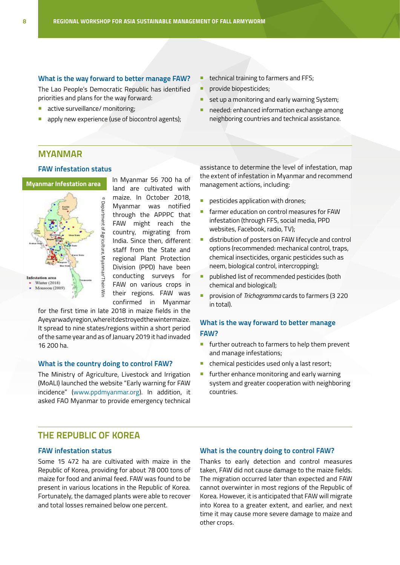#### **What is the way forward to better manage FAW?**

The Lao People's Democratic Republic has identified priorities and plans for the way forward:

- active surveillance/ monitoring;
- **a** apply new experience (use of biocontrol agents);
- technical training to farmers and FFS;
- provide biopesticides;
- set up a monitoring and early warning System;
- needed: enhanced information exchange among neighboring countries and technical assistance.

#### **MYANMAR**

#### **FAW infestation status**



In Myanmar 56 700 ha of land are cultivated with maize. In October 2018, Myanmar was notified through the APPPC that FAW might reach the country, migrating from India. Since then, different staff from the State and regional Plant Protection Division (PPD) have been conducting surveys for FAW on various crops in their regions. FAW was confirmed in Myanmar

for the first time in late 2018 in maize fields in the Ayeyarwady region, where it destroyed the winter maize. It spread to nine states/regions within a short period of the same year and as of January 2019 it had invaded 16 200 ha.

#### **What is the country doing to control FAW?**

The Ministry of Agriculture, Livestock and Irrigation (MoALI) launched the website "Early warning for FAW incidence" (www.ppdmyanmar.org). In addition, it asked FAO Myanmar to provide emergency technical assistance to determine the level of infestation, map the extent of infestation in Myanmar and recommend management actions, including:

- pesticides application with drones;
- farmer education on control measures for FAW infestation (through FFS, social media, PPD websites, Facebook, radio, TV);
- distribution of posters on FAW lifecycle and control options (recommended: mechanical control, traps, chemical insecticides, organic pesticides such as neem, biological control, intercropping);
- **P** published list of recommended pesticides (both chemical and biological);
- provision of *Trichogramma* cards to farmers (3 220 in total).

#### **What is the way forward to better manage FAW?**

- **F** further outreach to farmers to help them prevent and manage infestations;
- **•** chemical pesticides used only a last resort;
- **F** further enhance monitoring and early warning system and greater cooperation with neighboring countries.

#### **THE REPUBLIC OF KOREA**

#### **FAW infestation status**

Some 15 472 ha are cultivated with maize in the Republic of Korea, providing for about 78 000 tons of maize for food and animal feed. FAW was found to be present in various locations in the Republic of Korea. Fortunately, the damaged plants were able to recover and total losses remained below one percent.

#### **What is the country doing to control FAW?**

Thanks to early detection and control measures taken, FAW did not cause damage to the maize fields. The migration occurred later than expected and FAW cannot overwinter in most regions of the Republic of Korea. However, it is anticipated that FAW will migrate into Korea to a greater extent, and earlier, and next time it may cause more severe damage to maize and other crops.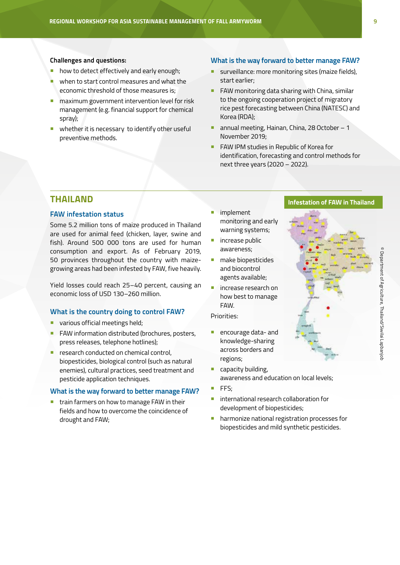#### **Challenges and questions:**

- how to detect effectively and early enough;
- when to start control measures and what the economic threshold of those measures is;
- maximum government intervention level for risk management (e.g. financial support for chemical spray);
- whether it is necessary to identify other useful preventive methods.

#### **What is the way forward to better manage FAW?**

- surveillance: more monitoring sites (maize fields), start earlier;
- FAW monitoring data sharing with China, similar to the ongoing cooperation project of migratory rice pest forecasting between China (NATESC) and Korea (RDA);
- annual meeting, Hainan, China, 28 October 1 November 2019;
- FAW IPM studies in Republic of Korea for identification, forecasting and control methods for next three years (2020 – 2022).

**Infestation of FAW in Thailand**

### **THAILAND**

#### **FAW infestation status**

Some 5.2 million tons of maize produced in Thailand are used for animal feed (chicken, layer, swine and fish). Around 500 000 tons are used for human consumption and export. As of February 2019, 50 provinces throughout the country with maizegrowing areas had been infested by FAW, five heavily.

Yield losses could reach 25–40 percent, causing an economic loss of USD 130–260 million.

#### **What is the country doing to control FAW?**

- various official meetings held;
- **FAW information distributed (brochures, posters,** press releases, telephone hotlines);
- research conducted on chemical control, biopesticides, biological control (such as natural enemies), cultural practices, seed treatment and pesticide application techniques.

#### **What is the way forward to better manage FAW?**

**train farmers on how to manage FAW in their** fields and how to overcome the coincidence of drought and FAW;

- implement monitoring and early warning systems;
- increase public awareness;
- **nake biopesticides** and biocontrol agents available;
- increase research on how best to manage FAW.

Priorities:

- encourage data- and knowledge-sharing across borders and regions;
- capacity building, awareness and education on local levels;
- FFS;
- international research collaboration for development of biopesticides;
- harmonize national registration processes for biopesticides and mild synthetic pesticides.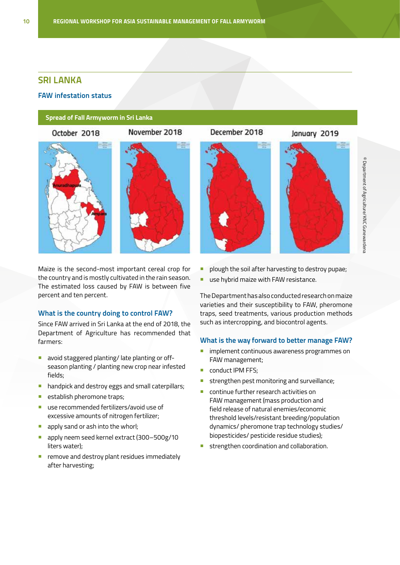### **SRI LANKA**

#### **FAW infestation status**

October 2018

#### **Spread of Fall Armyworm in Sri Lanka**

November 2018





Maize is the second-most important cereal crop for the country and is mostly cultivated in the rain season. The estimated loss caused by FAW is between five percent and ten percent.

#### **What is the country doing to control FAW?**

Since FAW arrived in Sri Lanka at the end of 2018, the Department of Agriculture has recommended that farmers:

- **a** avoid staggered planting/ late planting or offseason planting / planting new crop near infested fields;
- **handpick and destroy eggs and small caterpillars;**
- **establish pheromone traps;**
- use recommended fertilizers/avoid use of excessive amounts of nitrogen fertilizer;
- **a** apply sand or ash into the whorl;
- **a** apply neem seed kernel extract (300–500g/10 liters water);
- **P** remove and destroy plant residues immediately after harvesting;

December 2018





- **P** plough the soil after harvesting to destroy pupae;
- use hybrid maize with FAW resistance.

The Department has also conducted research on maize varieties and their susceptibility to FAW, pheromone traps, seed treatments, various production methods such as intercropping, and biocontrol agents.

- **n** implement continuous awareness programmes on FAW management;
- conduct IPM FFS;
- strengthen pest monitoring and surveillance;
- continue further research activities on FAW management (mass production and field release of natural enemies/economic threshold levels/resistant breeding/population dynamics/ pheromone trap technology studies/ biopesticides/ pesticide residue studies);
- strengthen coordination and collaboration.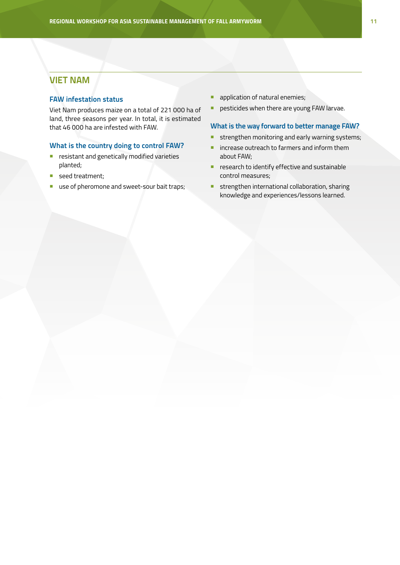### **VIET NAM**

#### **FAW infestation status**

Viet Nam produces maize on a total of 221 000 ha of land, three seasons per year. In total, it is estimated that 46 000 ha are infested with FAW.

#### **What is the country doing to control FAW?**

- **resistant and genetically modified varieties** planted;
- seed treatment;
- use of pheromone and sweet-sour bait traps;
- **application of natural enemies;**
- **P** pesticides when there are young FAW larvae.

- **strengthen monitoring and early warning systems;**
- $\blacksquare$  increase outreach to farmers and inform them about FAW;
- **F** research to identify effective and sustainable control measures;
- **strengthen international collaboration, sharing** knowledge and experiences/lessons learned.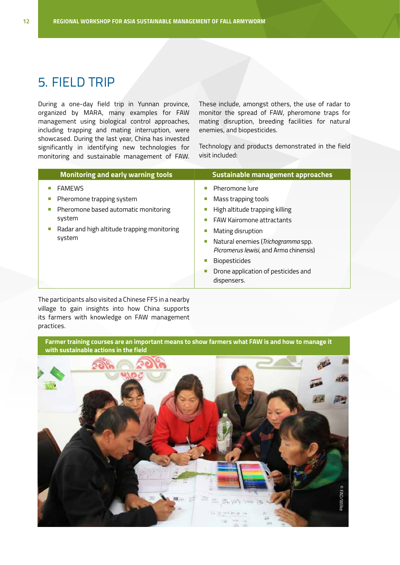## 5. FIELD TRIP

During a one-day field trip in Yunnan province, organized by MARA, many examples for FAW management using biological control approaches, including trapping and mating interruption, were showcased. During the last year, China has invested significantly in identifying new technologies for monitoring and sustainable management of FAW. These include, amongst others, the use of radar to monitor the spread of FAW, pheromone traps for mating disruption, breeding facilities for natural enemies, and biopesticides.

Technology and products demonstrated in the field visit included:

| <b>Monitoring and early warning tools</b>                                                                                                             | <b>Sustainable management approaches</b>                                                                                                                                                                                                                                                       |
|-------------------------------------------------------------------------------------------------------------------------------------------------------|------------------------------------------------------------------------------------------------------------------------------------------------------------------------------------------------------------------------------------------------------------------------------------------------|
| <b>FAMEWS</b><br>Pheromone trapping system<br>Pheromone based automatic monitoring<br>system<br>Radar and high altitude trapping monitoring<br>system | Pheromone lure<br>Mass trapping tools<br>High altitude trapping killing<br><b>FAW Kairomone attractants</b><br>Mating disruption<br>Natural enemies (Trichogramma spp.<br>Picromerus lewisi, and Arma chinensis)<br><b>Biopesticides</b><br>Drone application of pesticides and<br>dispensers. |
| .                                                                                                                                                     |                                                                                                                                                                                                                                                                                                |

The participants also visited a Chinese FFS in a nearby village to gain insights into how China supports its farmers with knowledge on FAW management practices.

**Farmer training courses are an important means to show farmers what FAW is and how to manage it with sustainable actions in the field** 

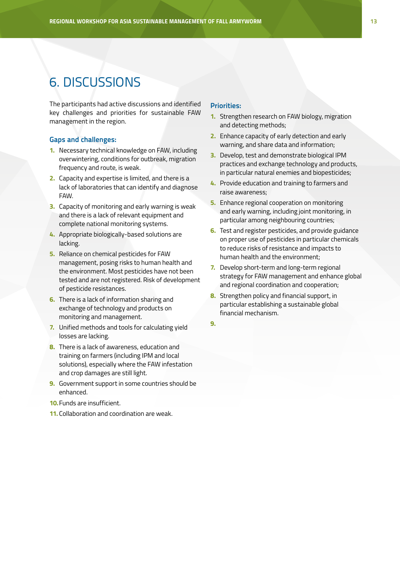# 6. DISCUSSIONS

The participants had active discussions and identified key challenges and priorities for sustainable FAW management in the region.

#### **Gaps and challenges:**

- **1.** Necessary technical knowledge on FAW, including overwintering, conditions for outbreak, migration frequency and route, is weak.
- **2.** Capacity and expertise is limited, and there is a lack of laboratories that can identify and diagnose FAW.
- **3.** Capacity of monitoring and early warning is weak and there is a lack of relevant equipment and complete national monitoring systems.
- **4.** Appropriate biologically-based solutions are lacking.
- **5.** Reliance on chemical pesticides for FAW management, posing risks to human health and the environment. Most pesticides have not been tested and are not registered. Risk of development of pesticide resistances.
- **6.** There is a lack of information sharing and exchange of technology and products on monitoring and management.
- **7.** Unified methods and tools for calculating yield losses are lacking.
- **8.** There is a lack of awareness, education and training on farmers (including IPM and local solutions), especially where the FAW infestation and crop damages are still light.
- **9.** Government support in some countries should be enhanced.
- **10.**Funds are insufficient.
- **11.** Collaboration and coordination are weak.

#### **Priorities:**

- **1.** Strengthen research on FAW biology, migration and detecting methods;
- **2.** Enhance capacity of early detection and early warning, and share data and information;
- **3.** Develop, test and demonstrate biological IPM practices and exchange technology and products, in particular natural enemies and biopesticides;
- **4.** Provide education and training to farmers and raise awareness;
- **5.** Enhance regional cooperation on monitoring and early warning, including joint monitoring, in particular among neighbouring countries;
- **6.** Test and register pesticides, and provide guidance on proper use of pesticides in particular chemicals to reduce risks of resistance and impacts to human health and the environment;
- **7.** Develop short-term and long-term regional strategy for FAW management and enhance global and regional coordination and cooperation;
- **8.** Strengthen policy and financial support, in particular establishing a sustainable global financial mechanism.
- **9.**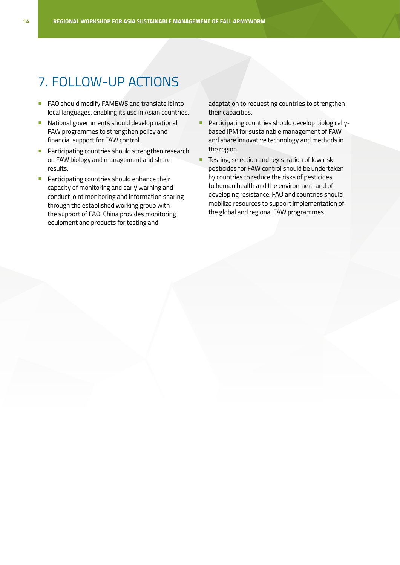## 7. FOLLOW-UP ACTIONS

- **FAO** should modify FAMEWS and translate it into local languages, enabling its use in Asian countries.
- National governments should develop national FAW programmes to strengthen policy and financial support for FAW control.
- **Participating countries should strengthen research** on FAW biology and management and share results.
- **Participating countries should enhance their** capacity of monitoring and early warning and conduct joint monitoring and information sharing through the established working group with the support of FAO. China provides monitoring equipment and products for testing and

adaptation to requesting countries to strengthen their capacities.

- **Participating countries should develop biologically**based IPM for sustainable management of FAW and share innovative technology and methods in the region.
- **Testing, selection and registration of low risk** pesticides for FAW control should be undertaken by countries to reduce the risks of pesticides to human health and the environment and of developing resistance. FAO and countries should mobilize resources to support implementation of the global and regional FAW programmes.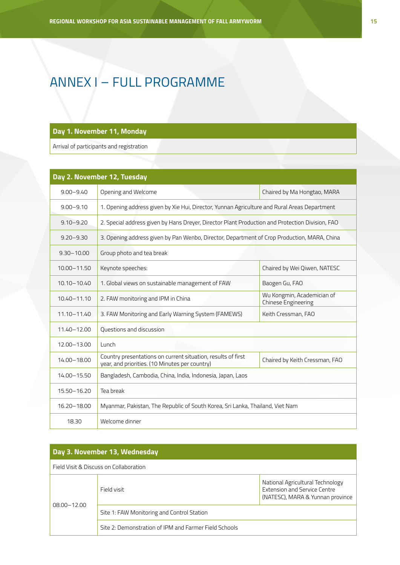# ANNEX I – FULL PROGRAMME

#### **Day 1. November 11, Monday**

Arrival of participants and registration

|                 | Day 2. November 12, Tuesday                                                                                    |                                                   |  |
|-----------------|----------------------------------------------------------------------------------------------------------------|---------------------------------------------------|--|
| $9.00 - 9.40$   | Opening and Welcome<br>Chaired by Ma Hongtao, MARA                                                             |                                                   |  |
| $9.00 - 9.10$   | 1. Opening address given by Xie Hui, Director, Yunnan Agriculture and Rural Areas Department                   |                                                   |  |
| $9.10 - 9.20$   | 2. Special address given by Hans Dreyer, Director Plant Production and Protection Division, FAO                |                                                   |  |
| $9.20 - 9.30$   | 3. Opening address given by Pan Wenbo, Director, Department of Crop Production, MARA, China                    |                                                   |  |
| $9.30 - 10.00$  | Group photo and tea break                                                                                      |                                                   |  |
| $10.00 - 11.50$ | Keynote speeches:                                                                                              | Chaired by Wei Qiwen, NATESC                      |  |
| $10.10 - 10.40$ | 1. Global views on sustainable management of FAW                                                               | Baogen Gu, FAO                                    |  |
| $10.40 - 11.10$ | 2. FAW monitoring and IPM in China                                                                             | Wu Kongmin, Academician of<br>Chinese Engineering |  |
| 11.10-11.40     | 3. FAW Monitoring and Early Warning System (FAMEWS)<br>Keith Cressman, FAO                                     |                                                   |  |
| $11.40 - 12.00$ | Questions and discussion                                                                                       |                                                   |  |
| 12.00-13.00     | Lunch                                                                                                          |                                                   |  |
| $14.00 - 18.00$ | Country presentations on current situation, results of first<br>year, and priorities. (10 Minutes per country) | Chaired by Keith Cressman, FAO                    |  |
| 14.00-15.50     | Bangladesh, Cambodia, China, India, Indonesia, Japan, Laos                                                     |                                                   |  |
| 15.50 - 16.20   | Tea break                                                                                                      |                                                   |  |
| 16.20 - 18.00   | Myanmar, Pakistan, The Republic of South Korea, Sri Lanka, Thailand, Viet Nam                                  |                                                   |  |
| 18.30           | Welcome dinner                                                                                                 |                                                   |  |

### **Day 3. November 13, Wednesday**

Field Visit & Discuss on Collaboration 08.00–12.00 Field visit National Agricultural Technology Extension and Service Centre (NATESC), MARA & Yunnan province Site 1: FAW Monitoring and Control Station Site 2: Demonstration of IPM and Farmer Field Schools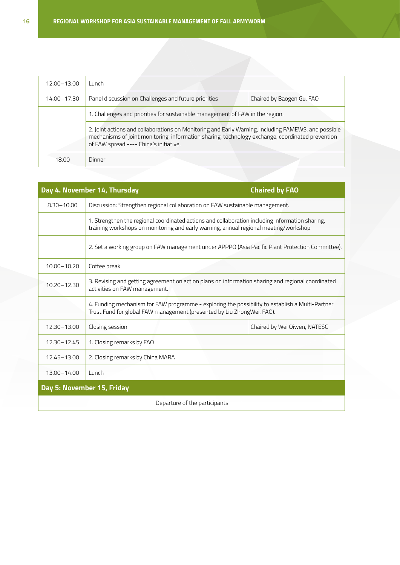| 12.00-13.00                                                                                                                                                                                                                                       | Lunch                                                                         |                           |  |
|---------------------------------------------------------------------------------------------------------------------------------------------------------------------------------------------------------------------------------------------------|-------------------------------------------------------------------------------|---------------------------|--|
| 14.00-17.30                                                                                                                                                                                                                                       | Panel discussion on Challenges and future priorities                          | Chaired by Baogen Gu, FAO |  |
|                                                                                                                                                                                                                                                   | 1. Challenges and priorities for sustainable management of FAW in the region. |                           |  |
| 2. Joint actions and collaborations on Monitoring and Early Warning, including FAMEWS, and possible<br>mechanisms of joint monitoring, information sharing, technology exchange, coordinated prevention<br>of FAW spread ---- China's initiative. |                                                                               |                           |  |
| 18.00                                                                                                                                                                                                                                             | Dinner                                                                        |                           |  |

| Day 4. November 14, Thursday  |                                                                                                                                                                                         | <b>Chaired by FAO</b> |  |
|-------------------------------|-----------------------------------------------------------------------------------------------------------------------------------------------------------------------------------------|-----------------------|--|
| $8.30 - 10.00$                | Discussion: Strengthen regional collaboration on FAW sustainable management.                                                                                                            |                       |  |
|                               | 1. Strengthen the regional coordinated actions and collaboration including information sharing,<br>training workshops on monitoring and early warning, annual regional meeting/workshop |                       |  |
|                               | 2. Set a working group on FAW management under APPPO (Asia Pacific Plant Protection Committee).                                                                                         |                       |  |
| 10.00 - 10.20                 | Coffee break                                                                                                                                                                            |                       |  |
| $10.20 - 12.30$               | 3. Revising and getting agreement on action plans on information sharing and regional coordinated<br>activities on FAW management.                                                      |                       |  |
|                               | 4. Funding mechanism for FAW programme - exploring the possibility to establish a Multi-Partner<br>Trust Fund for global FAW management (presented by Liu ZhongWei, FAO).               |                       |  |
| 12.30-13.00                   | Closing session<br>Chaired by Wei Qiwen, NATESC                                                                                                                                         |                       |  |
| 12.30-12.45                   | 1. Closing remarks by FAO                                                                                                                                                               |                       |  |
| 12.45 - 13.00                 | 2. Closing remarks by China MARA                                                                                                                                                        |                       |  |
| 13.00-14.00                   | Lunch                                                                                                                                                                                   |                       |  |
| Day 5: November 15, Friday    |                                                                                                                                                                                         |                       |  |
| Departure of the participants |                                                                                                                                                                                         |                       |  |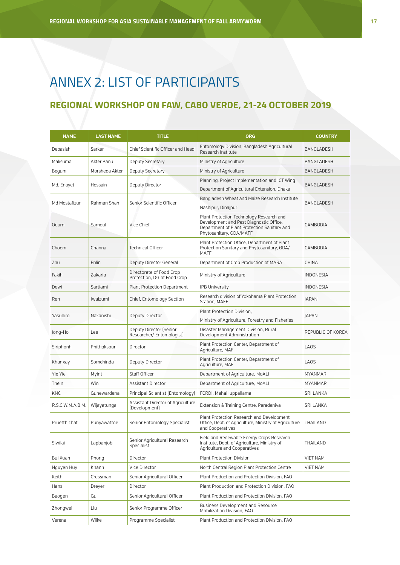# ANNEX 2: LIST OF PARTICIPANTS

### **REGIONAL WORKSHOP ON FAW, CABO VERDE, 21-24 OCTOBER 2019**

| <b>NAME</b>      | <b>LAST NAME</b> | <b>TITLE</b>                                            | <b>ORG</b>                                                                                                                                                    | <b>COUNTRY</b>    |
|------------------|------------------|---------------------------------------------------------|---------------------------------------------------------------------------------------------------------------------------------------------------------------|-------------------|
| Debasish         | Sarker           | Chief Scientific Officer and Head                       | Entomology Division, Bangladesh Agricultural<br>Research Institute                                                                                            | BANGLADESH        |
| Maksuma          | Akter Banu       | Deputy Secretary                                        | Ministry of Agriculture                                                                                                                                       | BANGLADESH        |
| Begum            | Morsheda Akter   | Deputy Secretary                                        | Ministry of Agriculture                                                                                                                                       | BANGLADESH        |
| Md. Enayet       | Hossain          |                                                         | Planning, Project Implementation and ICT Wing                                                                                                                 | BANGLADESH        |
|                  |                  | Deputy Director                                         | Department of Agricultural Extension, Dhaka                                                                                                                   |                   |
| Md Mostafizur    | Rahman Shah      | Senior Scientific Officer                               | Bangladesh Wheat and Maize Research Institute<br>Nashipur, Dinajpur                                                                                           | BANGLADESH        |
| <b>Oeurn</b>     | Samoul           | Vice Chief                                              | Plant Protection Technology Research and<br>Development and Pest Diagnostic Office,<br>Department of Plant Protection Sanitary and<br>Phytosanitary, GDA/MAFF | CAMBODIA          |
| Choem            | Channa           | <b>Technical Officer</b>                                | Plant Protection Office, Department of Plant<br>Protection Sanitary and Phytosanitary, GDA/<br><b>MAFF</b>                                                    | CAMBODIA          |
| Zhu              | Enlin            | Deputy Director General                                 | Department of Crop Production of MARA                                                                                                                         | CHINA             |
| Fakih            | Zakaria          | Directorate of Food Crop<br>Protection. DG of Food Crop | Ministry of Agriculture                                                                                                                                       | INDONESIA         |
| Dewi             | Sartiami         | Plant Protection Department                             | <b>IPB University</b>                                                                                                                                         | <b>INDONESIA</b>  |
| Ren              | Iwaizumi         | Chief, Entomology Section                               | Research division of Yokohama Plant Protection<br>Station, MAFF                                                                                               | <b>JAPAN</b>      |
| Yasuhiro         | Nakanishi        | Deputy Director                                         | Plant Protection Division,<br>Ministry of Agriculture, Forestry and Fisheries                                                                                 | <b>JAPAN</b>      |
| Jong-Ho          | Lee              | Deputy Director (Senior<br>Researcher/Entomologist]     | Disaster Management Division, Rural<br>Development Administration                                                                                             | REPUBLIC OF KOREA |
| Siriphonh        | Phithaksoun      | Director                                                | Plant Protection Center, Department of<br>Agriculture, MAF                                                                                                    | LAOS              |
| Khanxay          | Somchinda        | Deputy Director                                         | Plant Protection Center, Department of<br>Agriculture, MAF                                                                                                    | LAOS              |
| Yie Yie          | Myint            | Staff Officer                                           | Department of Agriculture, MoALI                                                                                                                              | <b>MYANMAR</b>    |
| Thein            | Win              | <b>Assistant Director</b>                               | Department of Agriculture, MoALI                                                                                                                              | <b>MYANMAR</b>    |
| KNC              | Gunewardena      | Principal Scientist [Entomology]                        | FCRDI, Mahailluppallama                                                                                                                                       | <b>SRI LANKA</b>  |
| R.S.C.W.M.A.B.M. | Wijayatunga      | Assistant Director of Agriculture<br>[Development]      | Extension & Training Centre, Peradeniya                                                                                                                       | SRI LANKA         |
| Pruetthichat     | Punyawattoe      | Senior Entomology Specialist                            | Plant Protection Research and Development<br>Office, Dept. of Agriculture, Ministry of Agriculture<br>and Cooperatives                                        | THAILAND          |
| Siwilai          | Lapbanjob        | Senior Agricultural Research<br>Specialist              | Field and Renewable Energy Crops Research<br>Institute, Dept. of Agriculture, Ministry of<br>Agriculture and Cooperatives                                     | THAILAND          |
| Bui Xuan         | Phong            | Director                                                | Plant Protection Division                                                                                                                                     | <b>VIET NAM</b>   |
| Nguyen Huy       | Khanh            | Vice Director                                           | North Central Region Plant Protection Centre                                                                                                                  | <b>VIET NAM</b>   |
| Keith            | Cressman         | Senior Agricultural Officer                             | Plant Production and Protection Division, FAO                                                                                                                 |                   |
| Hans             | Dreyer           | Director                                                | Plant Production and Protection Division, FAO                                                                                                                 |                   |
| Baogen           | Gu               | Senior Agricultural Officer                             | Plant Production and Protection Division, FAO                                                                                                                 |                   |
| Zhongwei         | Liu              | Senior Programme Officer                                | <b>Business Development and Resource</b><br>Mobilization Division, FAO                                                                                        |                   |
| Verena           | Wilke            | Programme Specialist                                    | Plant Production and Protection Division, FAO                                                                                                                 |                   |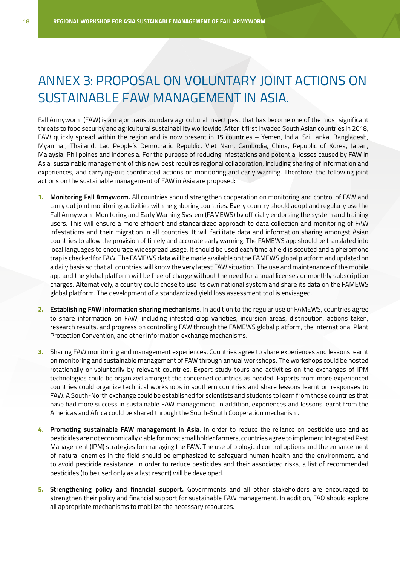# ANNEX 3: PROPOSAL ON VOLUNTARY JOINT ACTIONS ON SUSTAINABLE FAW MANAGEMENT IN ASIA.

Fall Armyworm (FAW) is a major transboundary agricultural insect pest that has become one of the most significant threats to food security and agricultural sustainability worldwide. After it first invaded South Asian countries in 2018, FAW quickly spread within the region and is now present in 15 countries – Yemen, India, Sri Lanka, Bangladesh, Myanmar, Thailand, Lao People's Democratic Republic, Viet Nam, Cambodia, China, Republic of Korea, Japan, Malaysia, Philippines and Indonesia. For the purpose of reducing infestations and potential losses caused by FAW in Asia, sustainable management of this new pest requires regional collaboration, including sharing of information and experiences, and carrying-out coordinated actions on monitoring and early warning. Therefore, the following joint actions on the sustainable management of FAW in Asia are proposed:

- **1. Monitoring Fall Armyworm.** All countries should strengthen cooperation on monitoring and control of FAW and carry out joint monitoring activities with neighboring countries. Every country should adopt and regularly use the Fall Armyworm Monitoring and Early Warning System (FAMEWS) by officially endorsing the system and training users. This will ensure a more efficient and standardized approach to data collection and monitoring of FAW infestations and their migration in all countries. It will facilitate data and information sharing amongst Asian countries to allow the provision of timely and accurate early warning. The FAMEWS app should be translated into local languages to encourage widespread usage. It should be used each time a field is scouted and a pheromone trap is checked for FAW. The FAMEWS data will be made available on the FAMEWS global platform and updated on a daily basis so that all countries will know the very latest FAW situation. The use and maintenance of the mobile app and the global platform will be free of charge without the need for annual licenses or monthly subscription charges. Alternatively, a country could chose to use its own national system and share its data on the FAMEWS global platform. The development of a standardized yield loss assessment tool is envisaged.
- **2. Establishing FAW information sharing mechanisms**. In addition to the regular use of FAMEWS, countries agree to share information on FAW, including infested crop varieties, incursion areas, distribution, actions taken, research results, and progress on controlling FAW through the FAMEWS global platform, the International Plant Protection Convention, and other information exchange mechanisms.
- **3.** Sharing FAW monitoring and management experiences. Countries agree to share experiences and lessons learnt on monitoring and sustainable management of FAW through annual workshops. The workshops could be hosted rotationally or voluntarily by relevant countries. Expert study-tours and activities on the exchanges of IPM technologies could be organized amongst the concerned countries as needed. Experts from more experienced countries could organize technical workshops in southern countries and share lessons learnt on responses to FAW. A South-North exchange could be established for scientists and students to learn from those countries that have had more success in sustainable FAW management. In addition, experiences and lessons learnt from the Americas and Africa could be shared through the South-South Cooperation mechanism.
- **4. Promoting sustainable FAW management in Asia.** In order to reduce the reliance on pesticide use and as pesticides are not economically viable for most smallholder farmers, countries agree to implement Integrated Pest Management (IPM) strategies for managing the FAW. The use of biological control options and the enhancement of natural enemies in the field should be emphasized to safeguard human health and the environment, and to avoid pesticide resistance. In order to reduce pesticides and their associated risks, a list of recommended pesticides (to be used only as a last resort) will be developed.
- **5. Strengthening policy and financial support.** Governments and all other stakeholders are encouraged to strengthen their policy and financial support for sustainable FAW management. In addition, FAO should explore all appropriate mechanisms to mobilize the necessary resources.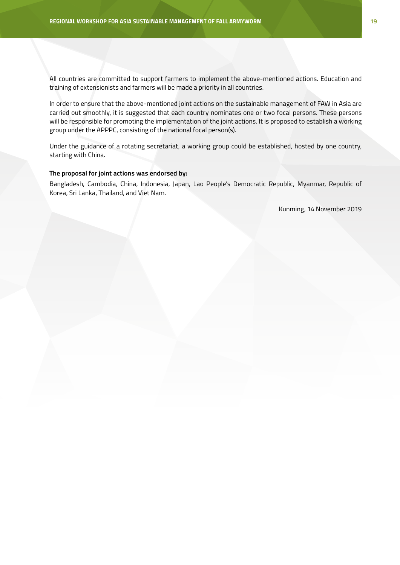All countries are committed to support farmers to implement the above-mentioned actions. Education and training of extensionists and farmers will be made a priority in all countries.

In order to ensure that the above-mentioned joint actions on the sustainable management of FAW in Asia are carried out smoothly, it is suggested that each country nominates one or two focal persons. These persons will be responsible for promoting the implementation of the joint actions. It is proposed to establish a working group under the APPPC, consisting of the national focal person(s).

Under the guidance of a rotating secretariat, a working group could be established, hosted by one country, starting with China.

#### **The proposal for joint actions was endorsed by:**

Bangladesh, Cambodia, China, Indonesia, Japan, Lao People's Democratic Republic, Myanmar, Republic of Korea, Sri Lanka, Thailand, and Viet Nam.

Kunming, 14 November 2019